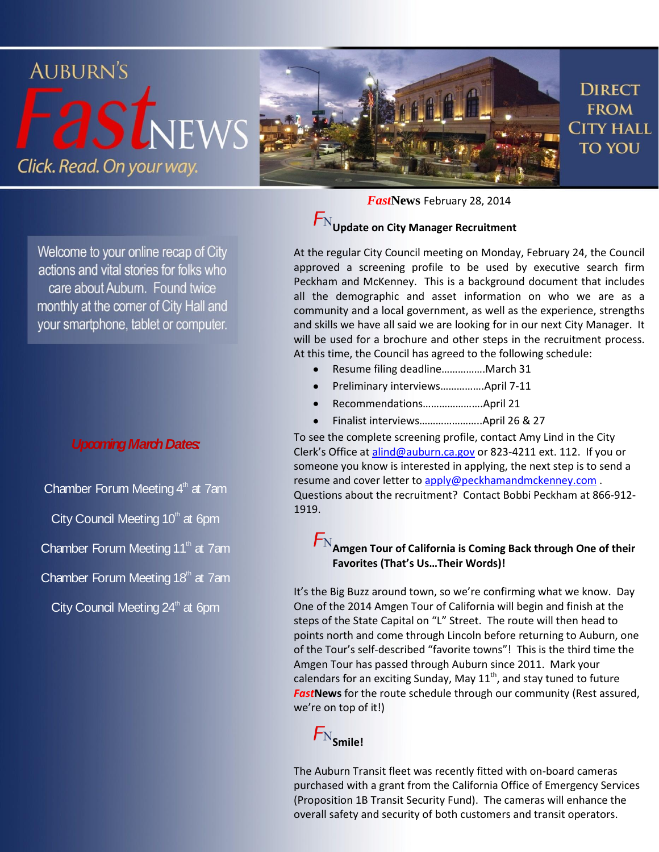

Welcome to your online recap of City actions and vital stories for folks who care about Auburn. Found twice monthly at the corner of City Hall and your smartphone, tablet or computer.

#### *Upcoming March Dates:*

- Chamber Forum Meeting  $4<sup>th</sup>$  at 7am
- City Council Meeting  $10<sup>th</sup>$  at 6pm
- Chamber Forum Meeting  $11<sup>th</sup>$  at 7am
- Chamber Forum Meeting  $18<sup>th</sup>$  at 7am
	- City Council Meeting  $24^{\circ}$  at 6pm

*Fast***News** February 28, 2014

## $\mathcal{F}_\text{N}$ Update on City Manager Recruitment

At the regular City Council meeting on Monday, February 24, the Council approved a screening profile to be used by executive search firm Peckham and McKenney. This is a background document that includes all the demographic and asset information on who we are as a community and a local government, as well as the experience, strengths and skills we have all said we are looking for in our next City Manager. It will be used for a brochure and other steps in the recruitment process. At this time, the Council has agreed to the following schedule:

- Resume filing deadline…………….March 31
- Preliminary interviews…………….April 7-11
- Recommendations………………….April 21
- Finalist interviews…………………..April 26 & 27

To see the complete screening profile, contact Amy Lind in the City Clerk's Office at [alind@auburn.ca.gov](mailto:alind@auburn.ca.gov) or 823-4211 ext. 112. If you or someone you know is interested in applying, the next step is to send a resume and cover letter to apply@peckhamandmckenney.com. Questions about the recruitment? Contact Bobbi Peckham at 866-912- 1919.

### $F_{\rm N}$ <sub>Amgen</sub> Tour of California is Coming Back through One of their **Favorites (That's Us…Their Words)!**

It's the Big Buzz around town, so we're confirming what we know. Day One of the 2014 Amgen Tour of California will begin and finish at the steps of the State Capital on "L" Street. The route will then head to points north and come through Lincoln before returning to Auburn, one of the Tour's self-described "favorite towns"! This is the third time the Amgen Tour has passed through Auburn since 2011. Mark your calendars for an exciting Sunday, May  $11<sup>th</sup>$ , and stay tuned to future *Fast***News** for the route schedule through our community (Rest assured, we're on top of it!)



The Auburn Transit fleet was recently fitted with on-board cameras purchased with a grant from the California Office of Emergency Services (Proposition 1B Transit Security Fund). The cameras will enhance the overall safety and security of both customers and transit operators.